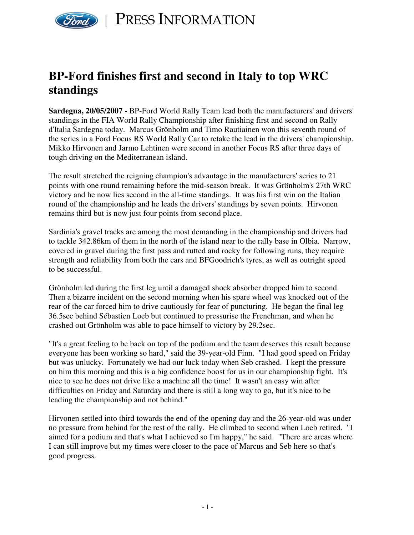

## **BP-Ford finishes first and second in Italy to top WRC standings**

**Sardegna, 20/05/2007 -** BP-Ford World Rally Team lead both the manufacturers' and drivers' standings in the FIA World Rally Championship after finishing first and second on Rally d'Italia Sardegna today. Marcus Grönholm and Timo Rautiainen won this seventh round of the series in a Ford Focus RS World Rally Car to retake the lead in the drivers' championship. Mikko Hirvonen and Jarmo Lehtinen were second in another Focus RS after three days of tough driving on the Mediterranean island.

The result stretched the reigning champion's advantage in the manufacturers' series to 21 points with one round remaining before the mid-season break. It was Grönholm's 27th WRC victory and he now lies second in the all-time standings. It was his first win on the Italian round of the championship and he leads the drivers' standings by seven points. Hirvonen remains third but is now just four points from second place.

Sardinia's gravel tracks are among the most demanding in the championship and drivers had to tackle 342.86km of them in the north of the island near to the rally base in Olbia. Narrow, covered in gravel during the first pass and rutted and rocky for following runs, they require strength and reliability from both the cars and BFGoodrich's tyres, as well as outright speed to be successful.

Grönholm led during the first leg until a damaged shock absorber dropped him to second. Then a bizarre incident on the second morning when his spare wheel was knocked out of the rear of the car forced him to drive cautiously for fear of puncturing. He began the final leg 36.5sec behind Sébastien Loeb but continued to pressurise the Frenchman, and when he crashed out Grönholm was able to pace himself to victory by 29.2sec.

"It's a great feeling to be back on top of the podium and the team deserves this result because everyone has been working so hard," said the 39-year-old Finn. "I had good speed on Friday but was unlucky. Fortunately we had our luck today when Seb crashed. I kept the pressure on him this morning and this is a big confidence boost for us in our championship fight. It's nice to see he does not drive like a machine all the time! It wasn't an easy win after difficulties on Friday and Saturday and there is still a long way to go, but it's nice to be leading the championship and not behind."

Hirvonen settled into third towards the end of the opening day and the 26-year-old was under no pressure from behind for the rest of the rally. He climbed to second when Loeb retired. "I aimed for a podium and that's what I achieved so I'm happy," he said. "There are areas where I can still improve but my times were closer to the pace of Marcus and Seb here so that's good progress.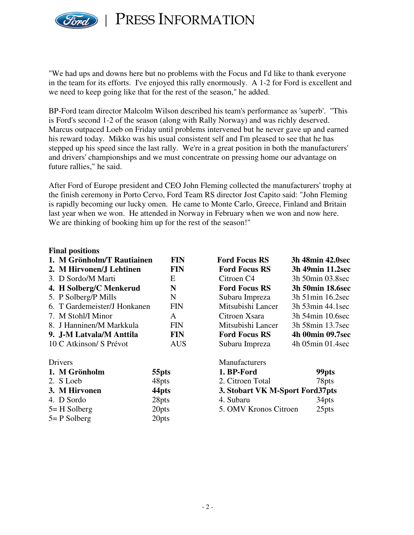

PRESS INFORMATION

"We had ups and downs here but no problems with the Focus and I'd like to thank everyone in the team for its efforts. I've enjoyed this rally enormously. A 1-2 for Ford is excellent and we need to keep going like that for the rest of the season," he added.

BP-Ford team director Malcolm Wilson described his team's performance as 'superb'. "This is Ford's second 1-2 of the season (along with Rally Norway) and was richly deserved. Marcus outpaced Loeb on Friday until problems intervened but he never gave up and earned his reward today. Mikko was his usual consistent self and I'm pleased to see that he has stepped up his speed since the last rally. We're in a great position in both the manufacturers' and drivers' championships and we must concentrate on pressing home our advantage on future rallies," he said.

After Ford of Europe president and CEO John Fleming collected the manufacturers' trophy at the finish ceremony in Porto Cervo, Ford Team RS director Jost Capito said: "John Fleming is rapidly becoming our lucky omen. He came to Monte Carlo, Greece, Finland and Britain last year when we won. He attended in Norway in February when we won and now here. We are thinking of booking him up for the rest of the season!"

## **Final positions**

| 1. M Grönholm/T Rautiainen   | <b>FIN</b> | <b>Ford Focus RS</b>   | 3h 48min 42.0sec      |
|------------------------------|------------|------------------------|-----------------------|
| 2. M Hirvonen/J Lehtinen     | <b>FIN</b> | <b>Ford Focus RS</b>   | 3h 49min 11.2sec      |
| 3. D Sordo/M Marti           | E          | Citroen C <sub>4</sub> | 3h 50min 03.8 sec     |
| 4. H Solberg/C Menkerud      | N          | <b>Ford Focus RS</b>   | 3h 50min 18.6sec      |
| 5. P Solberg/P Mills         | N          | Subaru Impreza         | $3h$ 51 min 16.2 sec  |
| 6. T Gardemeister/J Honkanen | <b>FIN</b> | Mitsubishi Lancer      | 3h 53min 44.1sec      |
| 7. M Stohl/I Minor           | A          | Citroen Xsara          | 3h 54min 10.6sec      |
| 8. J Hanninen/M Markkula     | <b>FIN</b> | Mitsubishi Lancer      | 3h 58 min 13.7 sec    |
| 9. J-M Latvala/M Anttila     | <b>FIN</b> | <b>Ford Focus RS</b>   | 4h 00min 09.7sec      |
| 10 C Atkinson/ S Prévot      | <b>AUS</b> | Subaru Impreza         | $4h$ 05 $min$ 01.4sec |
| Drivers                      |            | Manufacturers          |                       |

| 1. M Grönholm   | 55 <sub>pts</sub> | 1. BP-Ford                      | 99 <sub>pts</sub> |
|-----------------|-------------------|---------------------------------|-------------------|
| 2. S Loeb       | 48pts             | 2. Citroen Total                | 78pts             |
| 3. M Hirvonen   | 44 <sub>pts</sub> | 3. Stobart VK M-Sport Ford37pts |                   |
| 4. D Sordo      | 28pts             | 4. Subaru                       | 34 <sub>pts</sub> |
| $5 = H$ Solberg | 20pts             | 5. OMV Kronos Citroen           | 25 <sub>pts</sub> |
| $5 = P$ Solberg | 20pts             |                                 |                   |